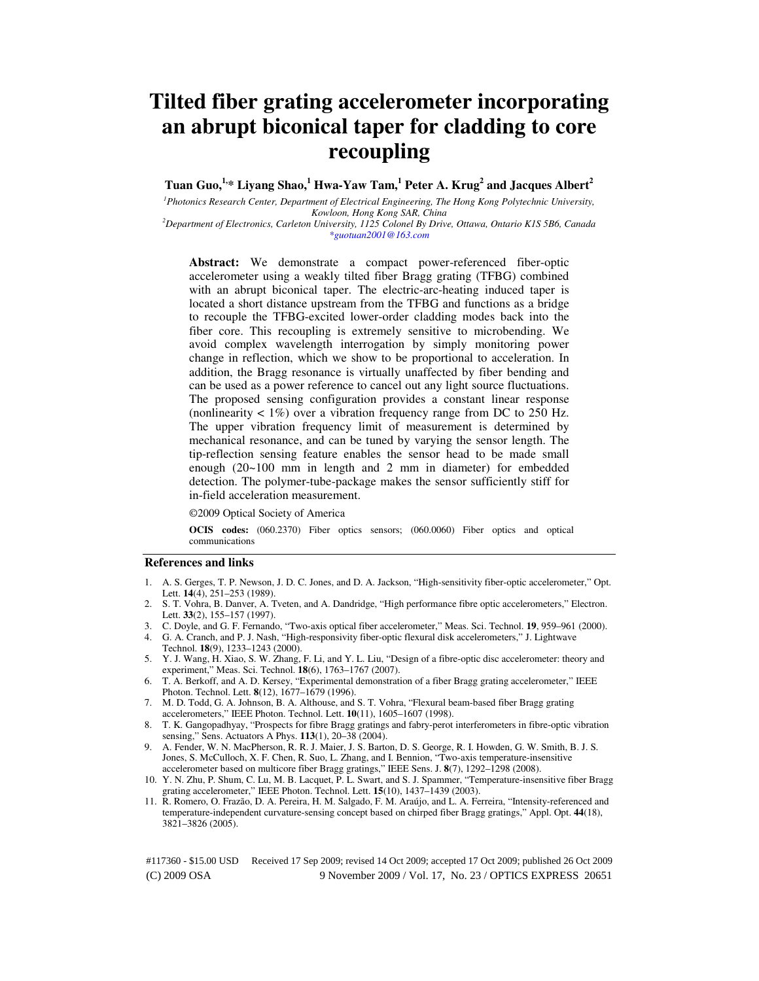# **Tilted fiber grating accelerometer incorporating an abrupt biconical taper for cladding to core recoupling**

**Tuan Guo,1,\* Liyang Shao,<sup>1</sup> Hwa-Yaw Tam,<sup>1</sup> Peter A. Krug<sup>2</sup> and Jacques Albert<sup>2</sup>**

*<sup>1</sup>Photonics Research Center, Department of Electrical Engineering, The Hong Kong Polytechnic University, Kowloon, Hong Kong SAR, China* 

*<sup>2</sup>Department of Electronics, Carleton University, 1125 Colonel By Drive, Ottawa, Ontario K1S 5B6, Canada \*guotuan2001@163.com* 

**Abstract:** We demonstrate a compact power-referenced fiber-optic accelerometer using a weakly tilted fiber Bragg grating (TFBG) combined with an abrupt biconical taper. The electric-arc-heating induced taper is located a short distance upstream from the TFBG and functions as a bridge to recouple the TFBG-excited lower-order cladding modes back into the fiber core. This recoupling is extremely sensitive to microbending. We avoid complex wavelength interrogation by simply monitoring power change in reflection, which we show to be proportional to acceleration. In addition, the Bragg resonance is virtually unaffected by fiber bending and can be used as a power reference to cancel out any light source fluctuations. The proposed sensing configuration provides a constant linear response (nonlinearity  $< 1\%$ ) over a vibration frequency range from DC to 250 Hz. The upper vibration frequency limit of measurement is determined by mechanical resonance, and can be tuned by varying the sensor length. The tip-reflection sensing feature enables the sensor head to be made small enough (20~100 mm in length and 2 mm in diameter) for embedded detection. The polymer-tube-package makes the sensor sufficiently stiff for in-field acceleration measurement.

©2009 Optical Society of America

**OCIS codes:** (060.2370) Fiber optics sensors; (060.0060) Fiber optics and optical communications

#### **References and links**

- 1. A. S. Gerges, T. P. Newson, J. D. C. Jones, and D. A. Jackson, "High-sensitivity fiber-optic accelerometer," Opt. Lett. **14**(4), 251–253 (1989).
- 2. S. T. Vohra, B. Danver, A. Tveten, and A. Dandridge, "High performance fibre optic accelerometers," Electron. Lett. **33**(2), 155–157 (1997).
- 3. C. Doyle, and G. F. Fernando, "Two-axis optical fiber accelerometer," Meas. Sci. Technol. **19**, 959–961 (2000).
- 4. G. A. Cranch, and P. J. Nash, "High-responsivity fiber-optic flexural disk accelerometers," J. Lightwave Technol. **18**(9), 1233–1243 (2000).
- 5. Y. J. Wang, H. Xiao, S. W. Zhang, F. Li, and Y. L. Liu, "Design of a fibre-optic disc accelerometer: theory and experiment," Meas. Sci. Technol. **18**(6), 1763–1767 (2007).
- 6. T. A. Berkoff, and A. D. Kersey, "Experimental demonstration of a fiber Bragg grating accelerometer," IEEE Photon. Technol. Lett. **8**(12), 1677–1679 (1996).
- 7. M. D. Todd, G. A. Johnson, B. A. Althouse, and S. T. Vohra, "Flexural beam-based fiber Bragg grating accelerometers," IEEE Photon. Technol. Lett. **10**(11), 1605–1607 (1998).
- 8. T. K. Gangopadhyay, "Prospects for fibre Bragg gratings and fabry-perot interferometers in fibre-optic vibration sensing," Sens. Actuators A Phys. **113**(1), 20–38 (2004).
- 9. A. Fender, W. N. MacPherson, R. R. J. Maier, J. S. Barton, D. S. George, R. I. Howden, G. W. Smith, B. J. S. Jones, S. McCulloch, X. F. Chen, R. Suo, L. Zhang, and I. Bennion, "Two-axis temperature-insensitive accelerometer based on multicore fiber Bragg gratings," IEEE Sens. J. **8**(7), 1292–1298 (2008).
- 10. Y. N. Zhu, P. Shum, C. Lu, M. B. Lacquet, P. L. Swart, and S. J. Spammer, "Temperature-insensitive fiber Bragg grating accelerometer," IEEE Photon. Technol. Lett. **15**(10), 1437–1439 (2003).
- 11. R. Romero, O. Frazão, D. A. Pereira, H. M. Salgado, F. M. Araújo, and L. A. Ferreira, "Intensity-referenced and temperature-independent curvature-sensing concept based on chirped fiber Bragg gratings," Appl. Opt. **44**(18), 3821–3826 (2005).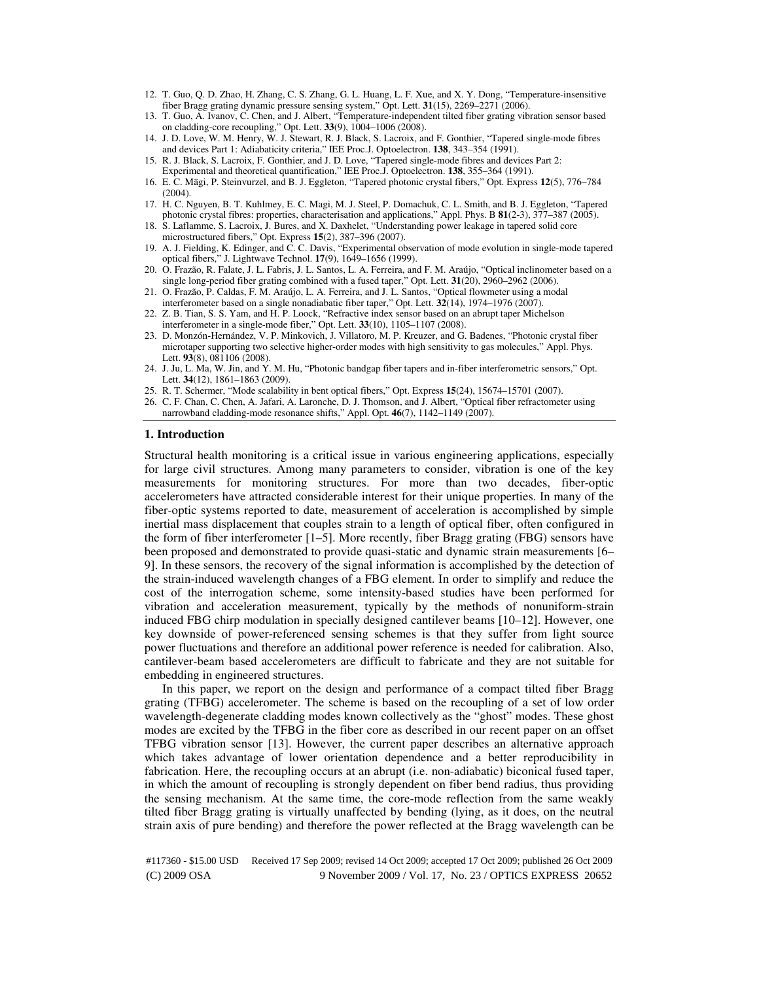- 12. T. Guo, Q. D. Zhao, H. Zhang, C. S. Zhang, G. L. Huang, L. F. Xue, and X. Y. Dong, "Temperature-insensitive fiber Bragg grating dynamic pressure sensing system," Opt. Lett. **31**(15), 2269–2271 (2006).
- 13. T. Guo, A. Ivanov, C. Chen, and J. Albert, "Temperature-independent tilted fiber grating vibration sensor based on cladding-core recoupling," Opt. Lett. **33**(9), 1004–1006 (2008).
- 14. J. D. Love, W. M. Henry, W. J. Stewart, R. J. Black, S. Lacroix, and F. Gonthier, "Tapered single-mode fibres and devices Part 1: Adiabaticity criteria," IEE Proc.J. Optoelectron. **138**, 343–354 (1991).
- 15. R. J. Black, S. Lacroix, F. Gonthier, and J. D. Love, "Tapered single-mode fibres and devices Part 2: Experimental and theoretical quantification," IEE Proc.J. Optoelectron. **138**, 355–364 (1991).
- 16. E. C. Mägi, P. Steinvurzel, and B. J. Eggleton, "Tapered photonic crystal fibers," Opt. Express **12**(5), 776–784 (2004).
- 17. H. C. Nguyen, B. T. Kuhlmey, E. C. Magi, M. J. Steel, P. Domachuk, C. L. Smith, and B. J. Eggleton, "Tapered photonic crystal fibres: properties, characterisation and applications," Appl. Phys. B **81**(2-3), 377–387 (2005).
- 18. S. Laflamme, S. Lacroix, J. Bures, and X. Daxhelet, "Understanding power leakage in tapered solid core microstructured fibers," Opt. Express **15**(2), 387–396 (2007).
- 19. A. J. Fielding, K. Edinger, and C. C. Davis, "Experimental observation of mode evolution in single-mode tapered optical fibers," J. Lightwave Technol. **17**(9), 1649–1656 (1999).
- 20. O. Frazão, R. Falate, J. L. Fabris, J. L. Santos, L. A. Ferreira, and F. M. Araújo, "Optical inclinometer based on a single long-period fiber grating combined with a fused taper," Opt. Lett. **31**(20), 2960–2962 (2006).
- 21. O. Frazão, P. Caldas, F. M. Araújo, L. A. Ferreira, and J. L. Santos, "Optical flowmeter using a modal interferometer based on a single nonadiabatic fiber taper," Opt. Lett. **32**(14), 1974–1976 (2007).
- 22. Z. B. Tian, S. S. Yam, and H. P. Loock, "Refractive index sensor based on an abrupt taper Michelson interferometer in a single-mode fiber," Opt. Lett. **33**(10), 1105–1107 (2008).
- 23. D. Monzón-Hernández, V. P. Minkovich, J. Villatoro, M. P. Kreuzer, and G. Badenes, "Photonic crystal fiber microtaper supporting two selective higher-order modes with high sensitivity to gas molecules," Appl. Phys. Lett.  $93(8)$ ,  $08\overline{1}106$  (2008).
- 24. J. Ju, L. Ma, W. Jin, and Y. M. Hu, "Photonic bandgap fiber tapers and in-fiber interferometric sensors," Opt. Lett. **34**(12), 1861–1863 (2009).
- 25. R. T. Schermer, "Mode scalability in bent optical fibers," Opt. Express **15**(24), 15674–15701 (2007).
- 26. C. F. Chan, C. Chen, A. Jafari, A. Laronche, D. J. Thomson, and J. Albert, "Optical fiber refractometer using narrowband cladding-mode resonance shifts," Appl. Opt. **46**(7), 1142–1149 (2007).

## **1. Introduction**

Structural health monitoring is a critical issue in various engineering applications, especially for large civil structures. Among many parameters to consider, vibration is one of the key measurements for monitoring structures. For more than two decades, fiber-optic accelerometers have attracted considerable interest for their unique properties. In many of the fiber-optic systems reported to date, measurement of acceleration is accomplished by simple inertial mass displacement that couples strain to a length of optical fiber, often configured in the form of fiber interferometer [1–5]. More recently, fiber Bragg grating (FBG) sensors have been proposed and demonstrated to provide quasi-static and dynamic strain measurements [6– 9]. In these sensors, the recovery of the signal information is accomplished by the detection of the strain-induced wavelength changes of a FBG element. In order to simplify and reduce the cost of the interrogation scheme, some intensity-based studies have been performed for vibration and acceleration measurement, typically by the methods of nonuniform-strain induced FBG chirp modulation in specially designed cantilever beams [10–12]. However, one key downside of power-referenced sensing schemes is that they suffer from light source power fluctuations and therefore an additional power reference is needed for calibration. Also, cantilever-beam based accelerometers are difficult to fabricate and they are not suitable for embedding in engineered structures.

In this paper, we report on the design and performance of a compact tilted fiber Bragg grating (TFBG) accelerometer. The scheme is based on the recoupling of a set of low order wavelength-degenerate cladding modes known collectively as the "ghost" modes. These ghost modes are excited by the TFBG in the fiber core as described in our recent paper on an offset TFBG vibration sensor [13]. However, the current paper describes an alternative approach which takes advantage of lower orientation dependence and a better reproducibility in fabrication. Here, the recoupling occurs at an abrupt (i.e. non-adiabatic) biconical fused taper, in which the amount of recoupling is strongly dependent on fiber bend radius, thus providing the sensing mechanism. At the same time, the core-mode reflection from the same weakly tilted fiber Bragg grating is virtually unaffected by bending (lying, as it does, on the neutral strain axis of pure bending) and therefore the power reflected at the Bragg wavelength can be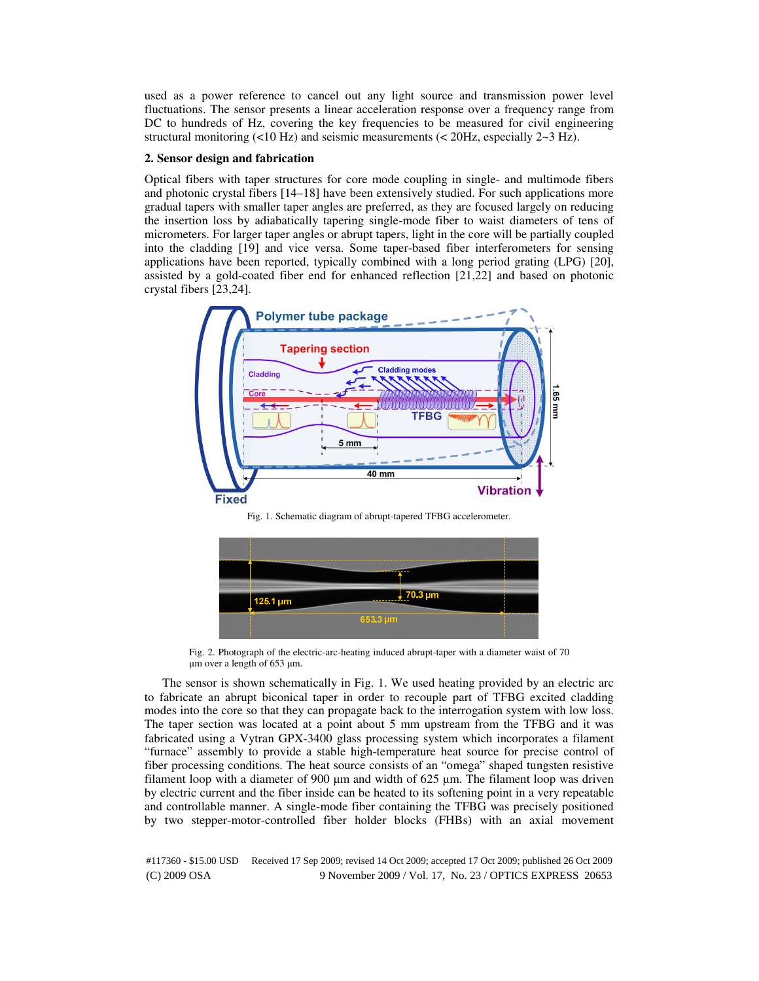used as a power reference to cancel out any light source and transmission power level fluctuations. The sensor presents a linear acceleration response over a frequency range from DC to hundreds of Hz, covering the key frequencies to be measured for civil engineering structural monitoring  $(<10 \text{ Hz})$  and seismic measurements  $(<20 \text{ Hz})$ , especially  $2~3 \text{ Hz}$ ).

## **2. Sensor design and fabrication**

Optical fibers with taper structures for core mode coupling in single- and multimode fibers and photonic crystal fibers [14–18] have been extensively studied. For such applications more gradual tapers with smaller taper angles are preferred, as they are focused largely on reducing the insertion loss by adiabatically tapering single-mode fiber to waist diameters of tens of micrometers. For larger taper angles or abrupt tapers, light in the core will be partially coupled into the cladding [19] and vice versa. Some taper-based fiber interferometers for sensing applications have been reported, typically combined with a long period grating (LPG) [20], assisted by a gold-coated fiber end for enhanced reflection [21,22] and based on photonic crystal fibers [23,24].



Fig. 1. Schematic diagram of abrupt-tapered TFBG accelerometer.



Fig. 2. Photograph of the electric-arc-heating induced abrupt-taper with a diameter waist of 70 µm over a length of 653 µm.

The sensor is shown schematically in Fig. 1. We used heating provided by an electric arc to fabricate an abrupt biconical taper in order to recouple part of TFBG excited cladding modes into the core so that they can propagate back to the interrogation system with low loss. The taper section was located at a point about 5 mm upstream from the TFBG and it was fabricated using a Vytran GPX-3400 glass processing system which incorporates a filament "furnace" assembly to provide a stable high-temperature heat source for precise control of fiber processing conditions. The heat source consists of an "omega" shaped tungsten resistive filament loop with a diameter of 900  $\mu$ m and width of 625  $\mu$ m. The filament loop was driven by electric current and the fiber inside can be heated to its softening point in a very repeatable and controllable manner. A single-mode fiber containing the TFBG was precisely positioned by two stepper-motor-controlled fiber holder blocks (FHBs) with an axial movement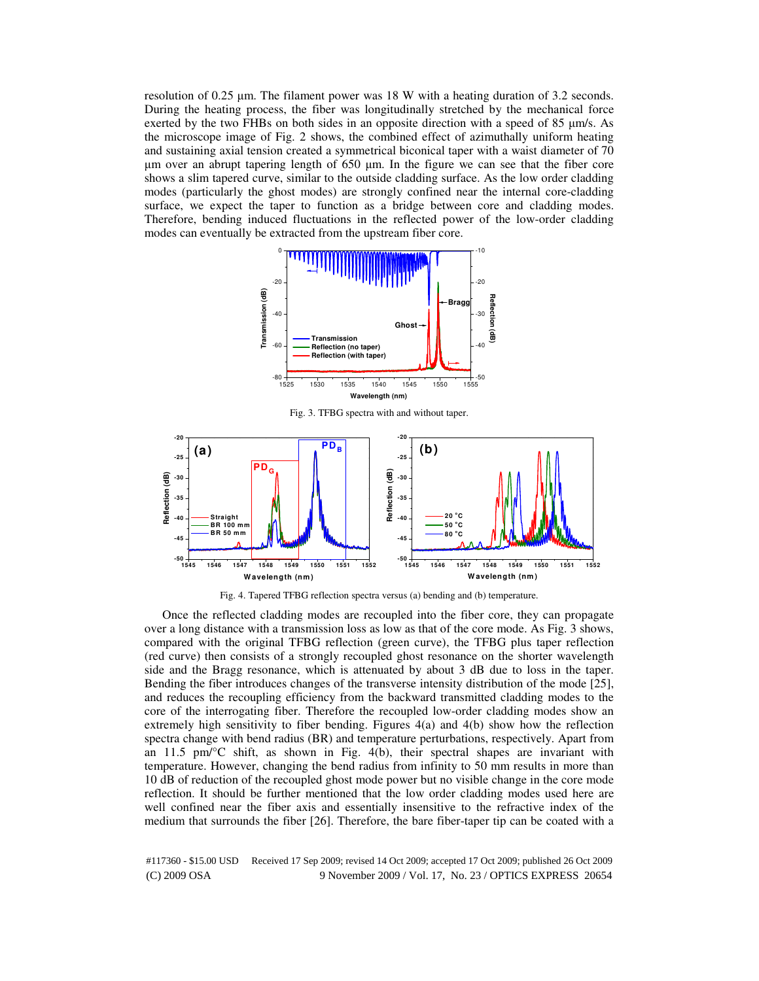resolution of 0.25 µm. The filament power was 18 W with a heating duration of 3.2 seconds. During the heating process, the fiber was longitudinally stretched by the mechanical force exerted by the two FHBs on both sides in an opposite direction with a speed of 85 µm/s. As the microscope image of Fig. 2 shows, the combined effect of azimuthally uniform heating and sustaining axial tension created a symmetrical biconical taper with a waist diameter of 70 µm over an abrupt tapering length of 650 µm. In the figure we can see that the fiber core shows a slim tapered curve, similar to the outside cladding surface. As the low order cladding modes (particularly the ghost modes) are strongly confined near the internal core-cladding surface, we expect the taper to function as a bridge between core and cladding modes. Therefore, bending induced fluctuations in the reflected power of the low-order cladding modes can eventually be extracted from the upstream fiber core.



Fig. 4. Tapered TFBG reflection spectra versus (a) bending and (b) temperature.

Once the reflected cladding modes are recoupled into the fiber core, they can propagate over a long distance with a transmission loss as low as that of the core mode. As Fig. 3 shows, compared with the original TFBG reflection (green curve), the TFBG plus taper reflection (red curve) then consists of a strongly recoupled ghost resonance on the shorter wavelength side and the Bragg resonance, which is attenuated by about 3 dB due to loss in the taper. Bending the fiber introduces changes of the transverse intensity distribution of the mode [25], and reduces the recoupling efficiency from the backward transmitted cladding modes to the core of the interrogating fiber. Therefore the recoupled low-order cladding modes show an extremely high sensitivity to fiber bending. Figures 4(a) and 4(b) show how the reflection spectra change with bend radius (BR) and temperature perturbations, respectively. Apart from an  $11.5 \text{ pm}$ <sup>o</sup>C shift, as shown in Fig. 4(b), their spectral shapes are invariant with temperature. However, changing the bend radius from infinity to 50 mm results in more than 10 dB of reduction of the recoupled ghost mode power but no visible change in the core mode reflection. It should be further mentioned that the low order cladding modes used here are well confined near the fiber axis and essentially insensitive to the refractive index of the medium that surrounds the fiber [26]. Therefore, the bare fiber-taper tip can be coated with a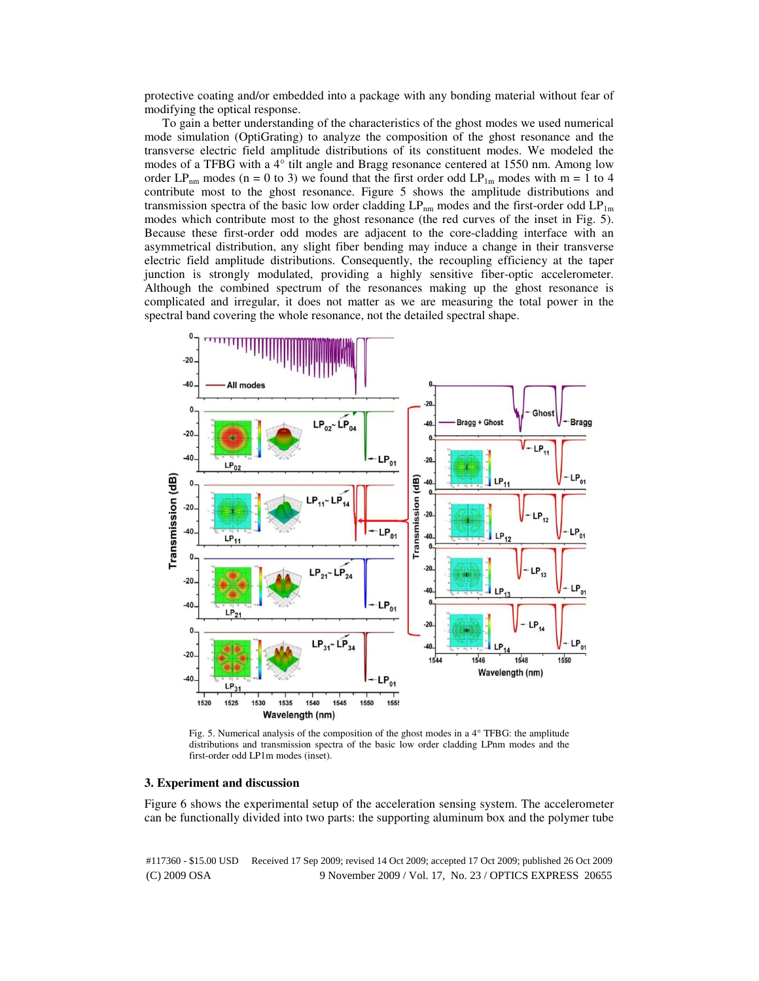protective coating and/or embedded into a package with any bonding material without fear of modifying the optical response.

To gain a better understanding of the characteristics of the ghost modes we used numerical mode simulation (OptiGrating) to analyze the composition of the ghost resonance and the transverse electric field amplitude distributions of its constituent modes. We modeled the modes of a TFBG with a 4° tilt angle and Bragg resonance centered at 1550 nm. Among low order LP<sub>nm</sub> modes (n = 0 to 3) we found that the first order odd LP<sub>1m</sub> modes with m = 1 to 4 contribute most to the ghost resonance. Figure 5 shows the amplitude distributions and transmission spectra of the basic low order cladding  $LP_{nm}$  modes and the first-order odd  $LP_{1m}$ modes which contribute most to the ghost resonance (the red curves of the inset in Fig. 5). Because these first-order odd modes are adjacent to the core-cladding interface with an asymmetrical distribution, any slight fiber bending may induce a change in their transverse electric field amplitude distributions. Consequently, the recoupling efficiency at the taper junction is strongly modulated, providing a highly sensitive fiber-optic accelerometer. Although the combined spectrum of the resonances making up the ghost resonance is complicated and irregular, it does not matter as we are measuring the total power in the spectral band covering the whole resonance, not the detailed spectral shape.



Fig. 5. Numerical analysis of the composition of the ghost modes in a 4° TFBG: the amplitude distributions and transmission spectra of the basic low order cladding LPnm modes and the first-order odd LP1m modes (inset).

## **3. Experiment and discussion**

Figure 6 shows the experimental setup of the acceleration sensing system. The accelerometer can be functionally divided into two parts: the supporting aluminum box and the polymer tube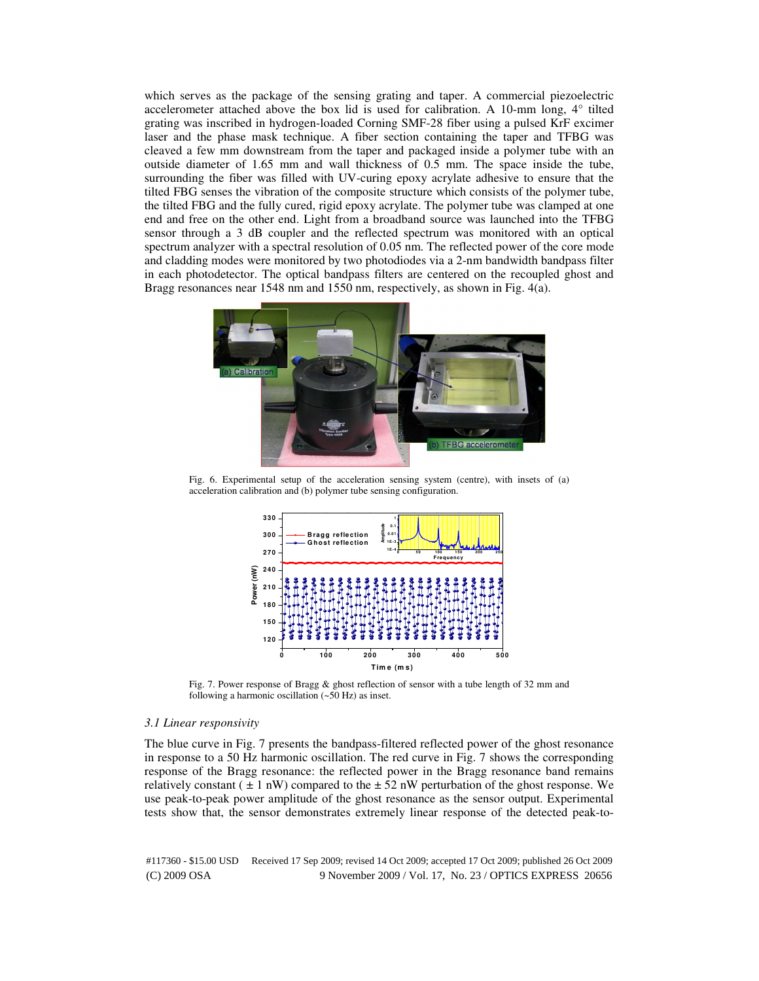which serves as the package of the sensing grating and taper. A commercial piezoelectric accelerometer attached above the box lid is used for calibration. A 10-mm long, 4° tilted grating was inscribed in hydrogen-loaded Corning SMF-28 fiber using a pulsed KrF excimer laser and the phase mask technique. A fiber section containing the taper and TFBG was cleaved a few mm downstream from the taper and packaged inside a polymer tube with an outside diameter of 1.65 mm and wall thickness of 0.5 mm. The space inside the tube, surrounding the fiber was filled with UV-curing epoxy acrylate adhesive to ensure that the tilted FBG senses the vibration of the composite structure which consists of the polymer tube, the tilted FBG and the fully cured, rigid epoxy acrylate. The polymer tube was clamped at one end and free on the other end. Light from a broadband source was launched into the TFBG sensor through a 3 dB coupler and the reflected spectrum was monitored with an optical spectrum analyzer with a spectral resolution of 0.05 nm. The reflected power of the core mode and cladding modes were monitored by two photodiodes via a 2-nm bandwidth bandpass filter in each photodetector. The optical bandpass filters are centered on the recoupled ghost and Bragg resonances near 1548 nm and 1550 nm, respectively, as shown in Fig. 4(a).



Fig. 6. Experimental setup of the acceleration sensing system (centre), with insets of (a) acceleration calibration and (b) polymer tube sensing configuration.



Fig. 7. Power response of Bragg & ghost reflection of sensor with a tube length of 32 mm and following a harmonic oscillation (~50 Hz) as inset.

## *3.1 Linear responsivity*

The blue curve in Fig. 7 presents the bandpass-filtered reflected power of the ghost resonance in response to a 50 Hz harmonic oscillation. The red curve in Fig. 7 shows the corresponding response of the Bragg resonance: the reflected power in the Bragg resonance band remains relatively constant ( $\pm 1$  nW) compared to the  $\pm 52$  nW perturbation of the ghost response. We use peak-to-peak power amplitude of the ghost resonance as the sensor output. Experimental tests show that, the sensor demonstrates extremely linear response of the detected peak-to-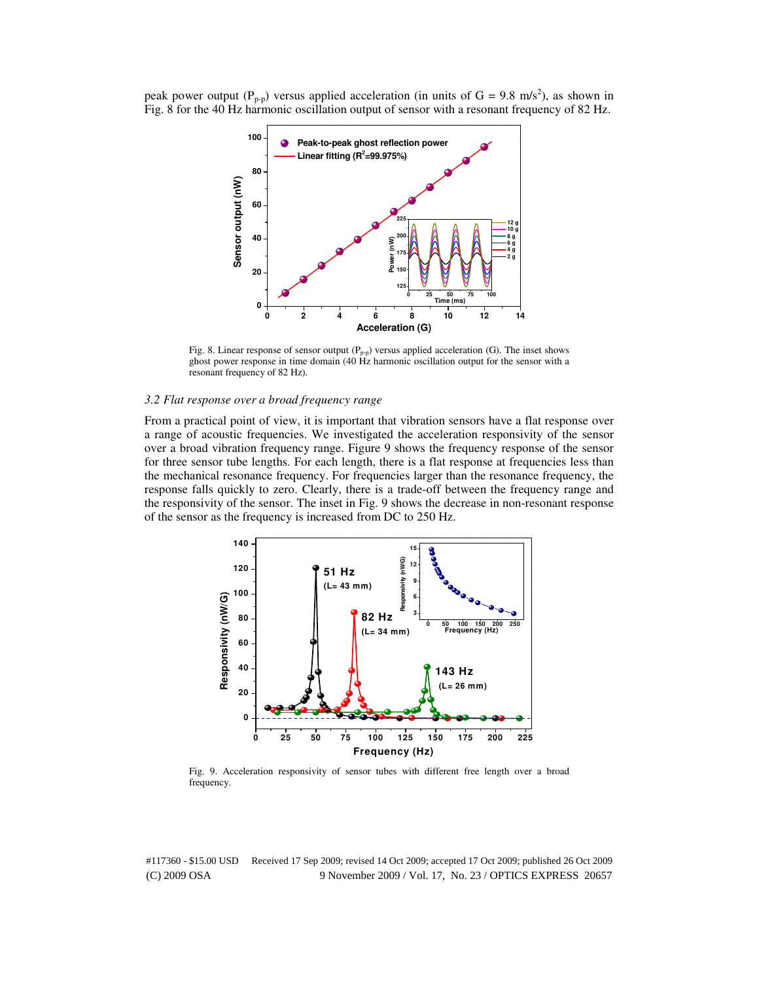peak power output ( $P_{p-p}$ ) versus applied acceleration (in units of G = 9.8 m/s<sup>2</sup>), as shown in Fig. 8 for the 40 Hz harmonic oscillation output of sensor with a resonant frequency of 82 Hz.



Fig. 8. Linear response of sensor output  $(P_{p-p})$  versus applied acceleration (G). The inset shows ghost power response in time domain (40 Hz harmonic oscillation output for the sensor with a resonant frequency of 82 Hz).

#### *3.2 Flat response over a broad frequency range*

From a practical point of view, it is important that vibration sensors have a flat response over a range of acoustic frequencies. We investigated the acceleration responsivity of the sensor over a broad vibration frequency range. Figure 9 shows the frequency response of the sensor for three sensor tube lengths. For each length, there is a flat response at frequencies less than the mechanical resonance frequency. For frequencies larger than the resonance frequency, the response falls quickly to zero. Clearly, there is a trade-off between the frequency range and the responsivity of the sensor. The inset in Fig. 9 shows the decrease in non-resonant response of the sensor as the frequency is increased from DC to 250 Hz.



Fig. 9. Acceleration responsivity of sensor tubes with different free length over a broad frequency.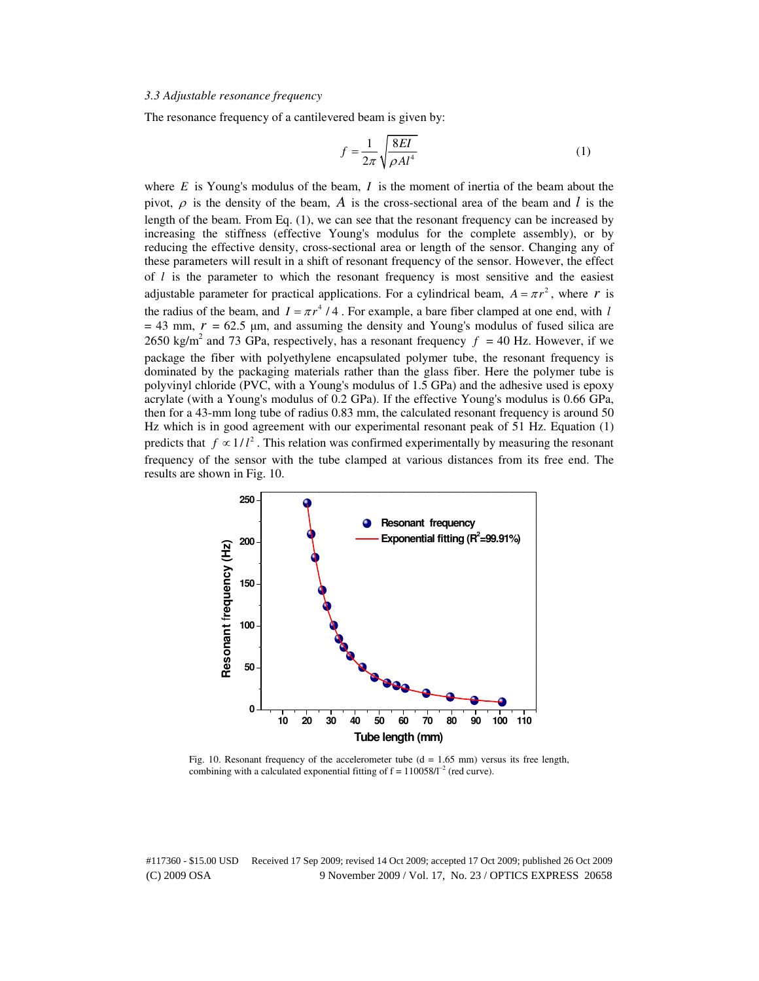## *3.3 Adjustable resonance frequency*

The resonance frequency of a cantilevered beam is given by:

$$
f = \frac{1}{2\pi} \sqrt{\frac{8EI}{\rho Al^4}}\tag{1}
$$

where *E* is Young's modulus of the beam, *I* is the moment of inertia of the beam about the pivot,  $\rho$  is the density of the beam, A is the cross-sectional area of the beam and l is the length of the beam. From Eq. (1), we can see that the resonant frequency can be increased by increasing the stiffness (effective Young's modulus for the complete assembly), or by reducing the effective density, cross-sectional area or length of the sensor. Changing any of these parameters will result in a shift of resonant frequency of the sensor. However, the effect of *l* is the parameter to which the resonant frequency is most sensitive and the easiest adjustable parameter for practical applications. For a cylindrical beam,  $A = \pi r^2$ , where *r* is the radius of the beam, and  $I = \pi r^4 / 4$ . For example, a bare fiber clamped at one end, with *l*  $= 43$  mm,  $r = 62.5$  µm, and assuming the density and Young's modulus of fused silica are 2650 kg/m<sup>2</sup> and 73 GPa, respectively, has a resonant frequency  $f = 40$  Hz. However, if we package the fiber with polyethylene encapsulated polymer tube, the resonant frequency is dominated by the packaging materials rather than the glass fiber. Here the polymer tube is polyvinyl chloride (PVC, with a Young's modulus of 1.5 GPa) and the adhesive used is epoxy acrylate (with a Young's modulus of 0.2 GPa). If the effective Young's modulus is 0.66 GPa, then for a 43-mm long tube of radius 0.83 mm, the calculated resonant frequency is around 50 Hz which is in good agreement with our experimental resonant peak of 51 Hz. Equation (1) predicts that  $f \propto 1/l^2$ . This relation was confirmed experimentally by measuring the resonant frequency of the sensor with the tube clamped at various distances from its free end. The results are shown in Fig. 10.



Fig. 10. Resonant frequency of the accelerometer tube ( $d = 1.65$  mm) versus its free length, combining with a calculated exponential fitting of  $f = 110058/l^{-2}$  (red curve).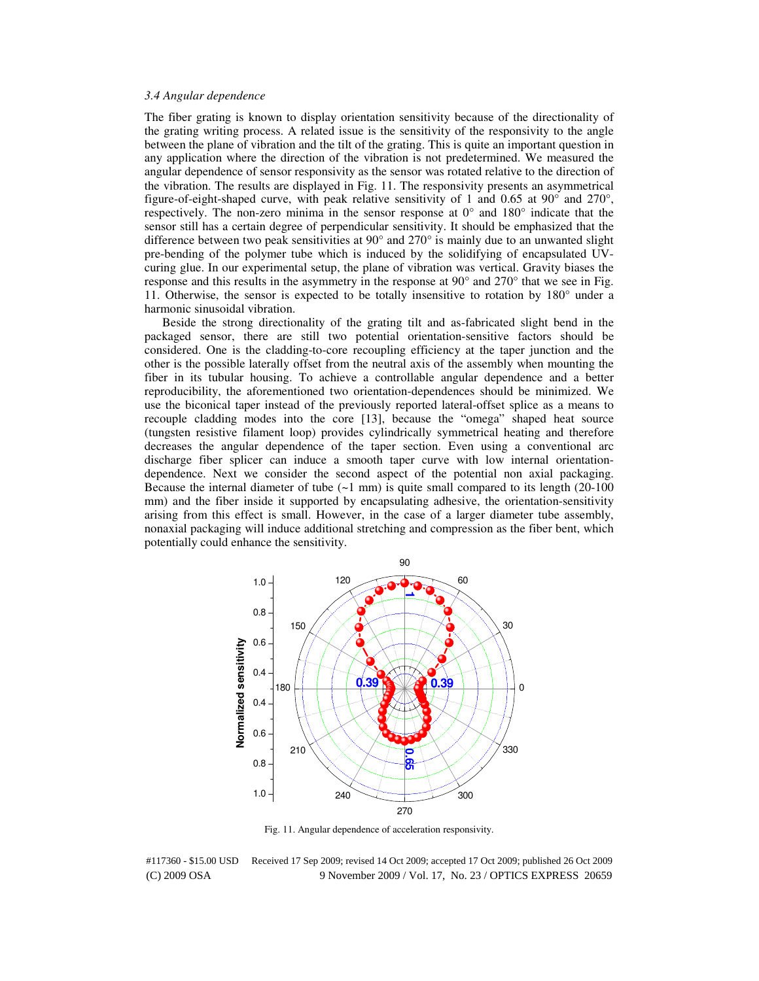#### *3.4 Angular dependence*

The fiber grating is known to display orientation sensitivity because of the directionality of the grating writing process. A related issue is the sensitivity of the responsivity to the angle between the plane of vibration and the tilt of the grating. This is quite an important question in any application where the direction of the vibration is not predetermined. We measured the angular dependence of sensor responsivity as the sensor was rotated relative to the direction of the vibration. The results are displayed in Fig. 11. The responsivity presents an asymmetrical figure-of-eight-shaped curve, with peak relative sensitivity of 1 and 0.65 at 90° and 270°, respectively. The non-zero minima in the sensor response at 0° and 180° indicate that the sensor still has a certain degree of perpendicular sensitivity. It should be emphasized that the difference between two peak sensitivities at 90° and 270° is mainly due to an unwanted slight pre-bending of the polymer tube which is induced by the solidifying of encapsulated UVcuring glue. In our experimental setup, the plane of vibration was vertical. Gravity biases the response and this results in the asymmetry in the response at 90° and 270° that we see in Fig. 11. Otherwise, the sensor is expected to be totally insensitive to rotation by 180° under a harmonic sinusoidal vibration.

Beside the strong directionality of the grating tilt and as-fabricated slight bend in the packaged sensor, there are still two potential orientation-sensitive factors should be considered. One is the cladding-to-core recoupling efficiency at the taper junction and the other is the possible laterally offset from the neutral axis of the assembly when mounting the fiber in its tubular housing. To achieve a controllable angular dependence and a better reproducibility, the aforementioned two orientation-dependences should be minimized. We use the biconical taper instead of the previously reported lateral-offset splice as a means to recouple cladding modes into the core [13], because the "omega" shaped heat source (tungsten resistive filament loop) provides cylindrically symmetrical heating and therefore decreases the angular dependence of the taper section. Even using a conventional arc discharge fiber splicer can induce a smooth taper curve with low internal orientationdependence. Next we consider the second aspect of the potential non axial packaging. Because the internal diameter of tube  $(-1 \text{ mm})$  is quite small compared to its length  $(20-100 \text{ m})$ mm) and the fiber inside it supported by encapsulating adhesive, the orientation-sensitivity arising from this effect is small. However, in the case of a larger diameter tube assembly, nonaxial packaging will induce additional stretching and compression as the fiber bent, which potentially could enhance the sensitivity.



Fig. 11. Angular dependence of acceleration responsivity.